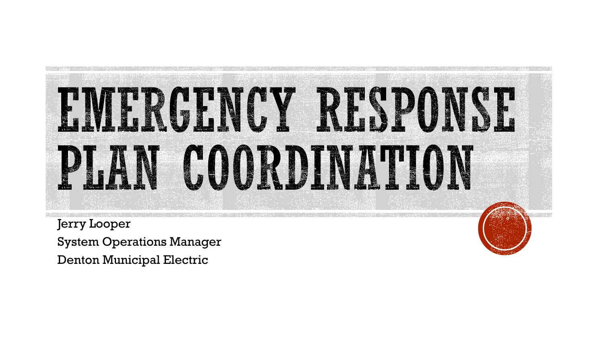

Jerry Looper System Operations Manager Denton Municipal Electric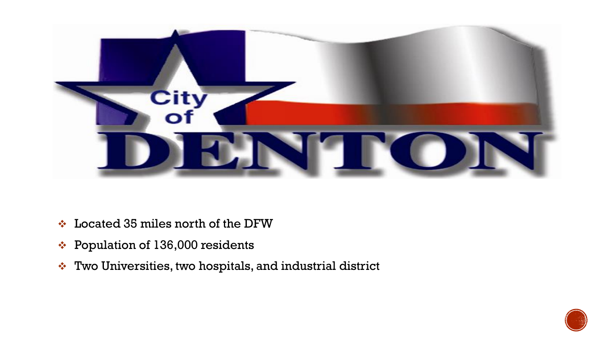

- ❖ Located 35 miles north of the DFW
- ❖ Population of 136,000 residents
- ❖ Two Universities, two hospitals, and industrial district

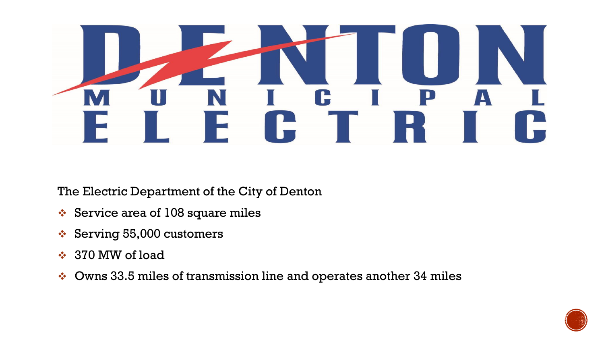

The Electric Department of the City of Denton

- ❖ Service area of 108 square miles
- ❖ Serving 55,000 customers
- ❖ 370 MW of load
- ❖ Owns 33.5 miles of transmission line and operates another 34 miles

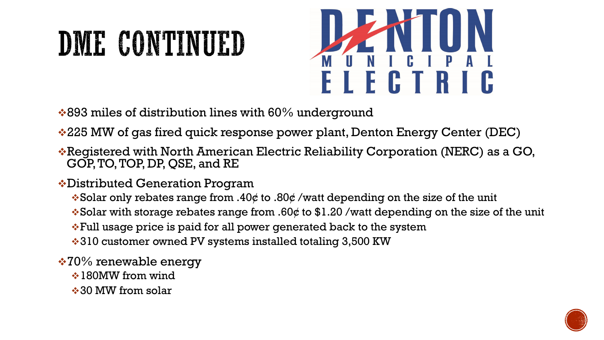## DME CONTINUED



- $\cdot$ 893 miles of distribution lines with 60% underground
- ❖225 MW of gas fired quick response power plant, Denton Energy Center (DEC)
- ❖Registered with North American Electric Reliability Corporation (NERC) as a GO, GOP, TO, TOP, DP, QSE, and RE
- ❖Distributed Generation Program
	- ❖Solar only rebates range from .40¢ to .80¢ /watt depending on the size of the unit
	- ❖Solar with storage rebates range from .60¢ to \$1.20 /watt depending on the size of the unit
	- ❖Full usage price is paid for all power generated back to the system
	- ❖310 customer owned PV systems installed totaling 3,500 KW
- ❖70% renewable energy
	- **❖ 180MW from wind**
	- ❖30 MW from solar

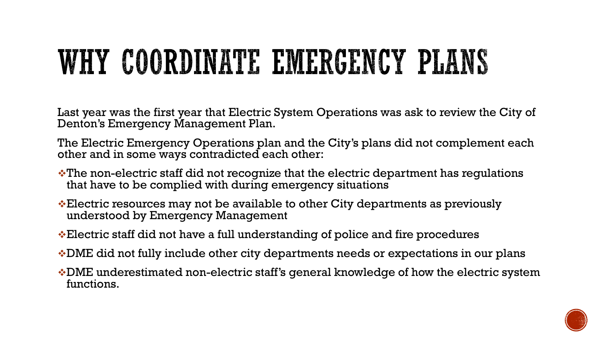## WHY COORDINATE EMERGENCY PLANS

Last year was the first year that Electric System Operations was ask to review the City of Denton's Emergency Management Plan.

The Electric Emergency Operations plan and the City's plans did not complement each other and in some ways contradicted each other:

- ❖The non-electric staff did not recognize that the electric department has regulations that have to be complied with during emergency situations
- ❖Electric resources may not be available to other City departments as previously understood by Emergency Management
- ❖Electric staff did not have a full understanding of police and fire procedures
- ❖DME did not fully include other city departments needs or expectations in our plans
- ❖DME underestimated non-electric staff's general knowledge of how the electric system functions.

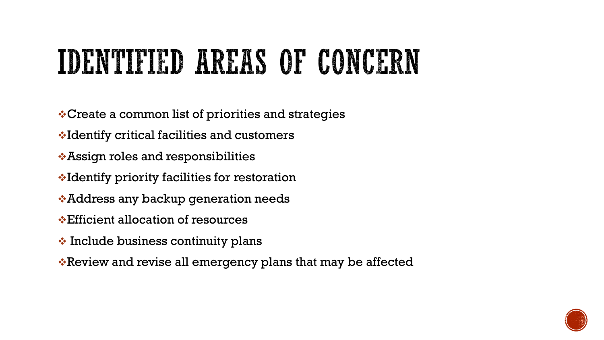## **IDENTIFIED AREAS OF CONCERN**

- ❖Create a common list of priorities and strategies
- ❖Identify critical facilities and customers
- ❖Assign roles and responsibilities
- ❖Identify priority facilities for restoration
- ❖Address any backup generation needs
- ❖Efficient allocation of resources
- ❖ Include business continuity plans
- ❖Review and revise all emergency plans that may be affected

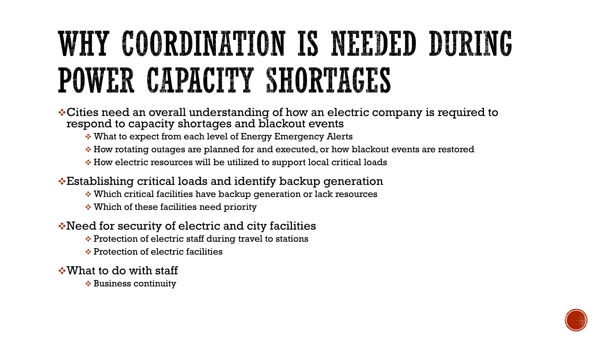## WHY COORDINATION IS NEEDED DURING POWER CAPACITY SHORTAGES

- ❖Cities need an overall understanding of how an electric company is required to respond to capacity shortages and blackout events
	- ❖ What to expect from each level of Energy Emergency Alerts
	- ❖ How rotating outages are planned for and executed, or how blackout events are restored
	- ❖ How electric resources will be utilized to support local critical loads
- ❖Establishing critical loads and identify backup generation
	- ❖ Which critical facilities have backup generation or lack resources
	- ❖ Which of these facilities need priority
- ❖Need for security of electric and city facilities
	- ❖ Protection of electric staff during travel to stations
	- ❖ Protection of electric facilities
- ❖What to do with staff
	- ❖ Business continuity

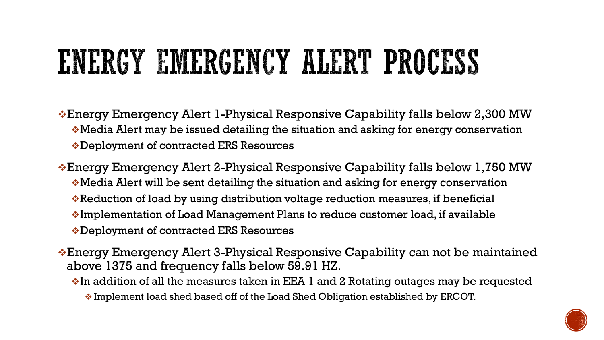## ENERGY EMERGENCY ALERT PROCESS

- ❖Energy Emergency Alert 1-Physical Responsive Capability falls below 2,300 MW ❖Media Alert may be issued detailing the situation and asking for energy conservation ❖Deployment of contracted ERS Resources
- ❖Energy Emergency Alert 2-Physical Responsive Capability falls below 1,750 MW ❖Media Alert will be sent detailing the situation and asking for energy conservation ❖Reduction of load by using distribution voltage reduction measures, if beneficial ❖Implementation of Load Management Plans to reduce customer load, if available ❖Deployment of contracted ERS Resources
- ❖Energy Emergency Alert 3-Physical Responsive Capability can not be maintained above 1375 and frequency falls below 59.91 HZ.
	- ❖In addition of all the measures taken in EEA 1 and 2 Rotating outages may be requested
		- ❖ Implement load shed based off of the Load Shed Obligation established by ERCOT.

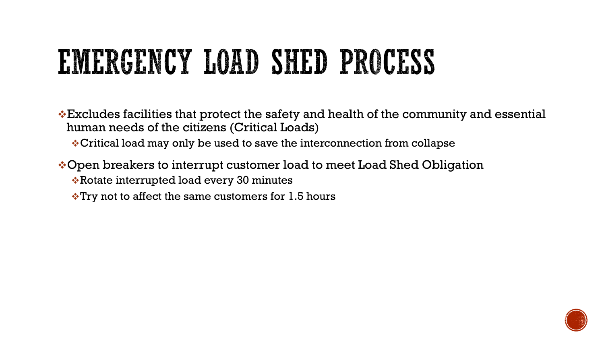## EMERGENCY LOAD SHED PROCESS

 $\cdot$ Excludes facilities that protect the safety and health of the community and essential human needs of the citizens (Critical Loads)

❖Critical load may only be used to save the interconnection from collapse

❖Open breakers to interrupt customer load to meet Load Shed Obligation ❖Rotate interrupted load every 30 minutes

 $\cdot$ Try not to affect the same customers for 1.5 hours

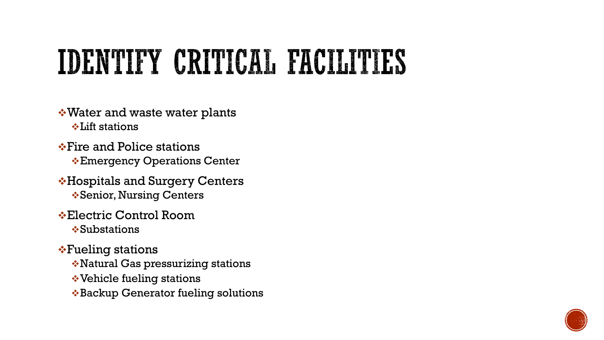### IDENTIFY CRITICAL FACILITIES

- ❖Water and waste water plants ❖Lift stations
- ❖Fire and Police stations ❖Emergency Operations Center
- ❖Hospitals and Surgery Centers ❖Senior, Nursing Centers
- ❖Electric Control Room ❖Substations
- ❖Fueling stations
	- ❖Natural Gas pressurizing stations
	- ❖Vehicle fueling stations
	- ❖Backup Generator fueling solutions

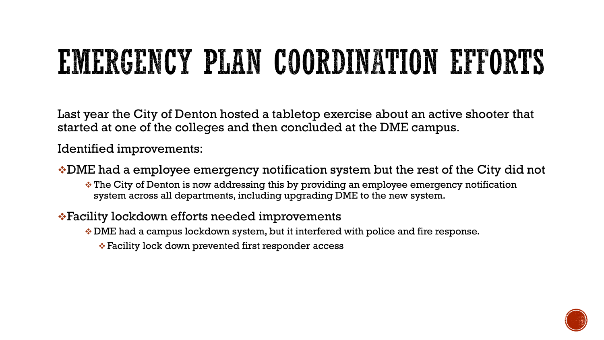# EMERGENCY PLAN COORDINATION EFFORTS

Last year the City of Denton hosted a tabletop exercise about an active shooter that started at one of the colleges and then concluded at the DME campus.

Identified improvements:

- ❖DME had a employee emergency notification system but the rest of the City did not
	- ❖ The City of Denton is now addressing this by providing an employee emergency notification system across all departments, including upgrading DME to the new system.
- ❖Facility lockdown efforts needed improvements
	- ❖ DME had a campus lockdown system, but it interfered with police and fire response.
		- ❖ Facility lock down prevented first responder access

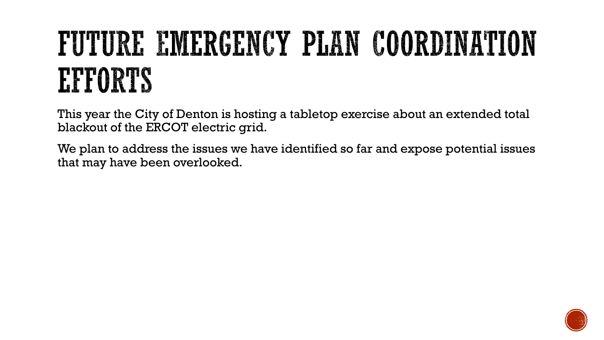## FUTURE EMERGENCY PLAN COORDINATION EPPORTS

This year the City of Denton is hosting a tabletop exercise about an extended total blackout of the ERCOT electric grid.

We plan to address the issues we have identified so far and expose potential issues that may have been overlooked.

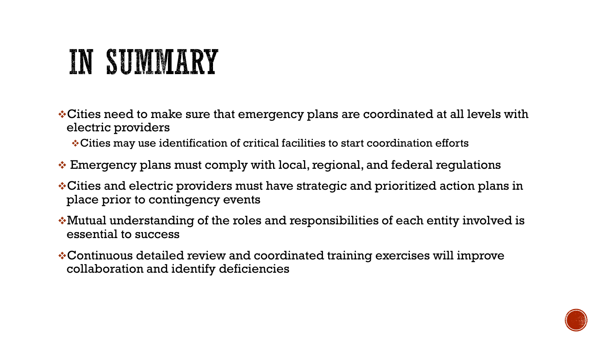#### IN SUMMARY

- ❖Cities need to make sure that emergency plans are coordinated at all levels with electric providers
	- ❖Cities may use identification of critical facilities to start coordination efforts
- $\cdot$  Emergency plans must comply with local, regional, and federal regulations
- ❖Cities and electric providers must have strategic and prioritized action plans in place prior to contingency events
- ❖Mutual understanding of the roles and responsibilities of each entity involved is essential to success
- ❖Continuous detailed review and coordinated training exercises will improve collaboration and identify deficiencies